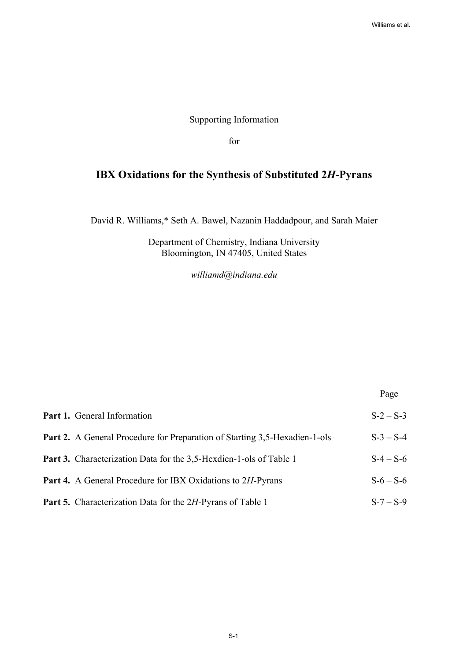## Supporting Information

for

# **IBX Oxidations for the Synthesis of Substituted 2***H***-Pyrans**

David R. Williams,\* Seth A. Bawel, Nazanin Haddadpour, and Sarah Maier

Department of Chemistry, Indiana University Bloomington, IN 47405, United States

*williamd@indiana.edu* 

Page

| Part 1. General Information                                                | $S-2-S-3$ |
|----------------------------------------------------------------------------|-----------|
| Part 2. A General Procedure for Preparation of Starting 3,5-Hexadien-1-ols | $S-3-S-4$ |
| <b>Part 3.</b> Characterization Data for the 3,5-Hexdien-1-ols of Table 1  | $S-4-S-6$ |
| <b>Part 4.</b> A General Procedure for IBX Oxidations to 2H-Pyrans         | $S-6-S-6$ |
| <b>Part 5.</b> Characterization Data for the 2H-Pyrans of Table 1          | $S-7-S-9$ |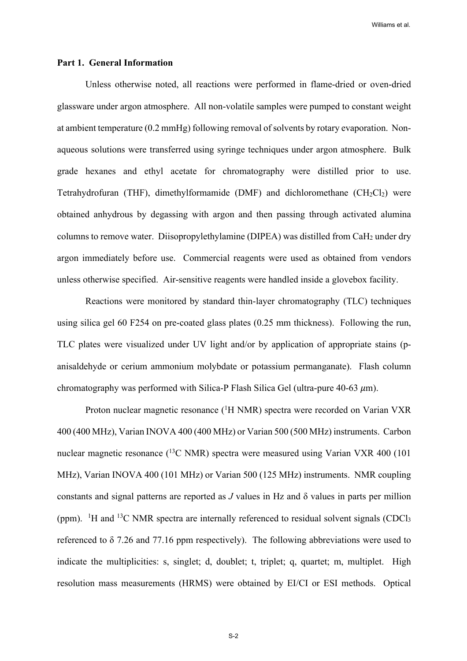#### **Part 1. General Information**

Unless otherwise noted, all reactions were performed in flame-dried or oven-dried glassware under argon atmosphere. All non-volatile samples were pumped to constant weight at ambient temperature (0.2 mmHg) following removal of solvents by rotary evaporation. Nonaqueous solutions were transferred using syringe techniques under argon atmosphere. Bulk grade hexanes and ethyl acetate for chromatography were distilled prior to use. Tetrahydrofuran (THF), dimethylformamide (DMF) and dichloromethane ( $CH_2Cl_2$ ) were obtained anhydrous by degassing with argon and then passing through activated alumina columns to remove water. Diisopropylethylamine (DIPEA) was distilled from  $CaH<sub>2</sub>$  under dry argon immediately before use. Commercial reagents were used as obtained from vendors unless otherwise specified. Air-sensitive reagents were handled inside a glovebox facility.

Reactions were monitored by standard thin-layer chromatography (TLC) techniques using silica gel 60 F254 on pre-coated glass plates (0.25 mm thickness). Following the run, TLC plates were visualized under UV light and/or by application of appropriate stains (panisaldehyde or cerium ammonium molybdate or potassium permanganate). Flash column chromatography was performed with Silica-P Flash Silica Gel (ultra-pure  $40-63 \mu m$ ).

Proton nuclear magnetic resonance (<sup>1</sup>H NMR) spectra were recorded on Varian VXR 400 (400 MHz), Varian INOVA 400 (400 MHz) or Varian 500 (500 MHz) instruments. Carbon nuclear magnetic resonance  $(^{13}C \text{ NMR})$  spectra were measured using Varian VXR 400 (101) MHz), Varian INOVA 400 (101 MHz) or Varian 500 (125 MHz) instruments. NMR coupling constants and signal patterns are reported as *J* values in Hz and δ values in parts per million (ppm).  $\rm{^{1}H}$  and  $\rm{^{13}C}$  NMR spectra are internally referenced to residual solvent signals (CDCl<sub>3</sub> referenced to δ 7.26 and 77.16 ppm respectively). The following abbreviations were used to indicate the multiplicities: s, singlet; d, doublet; t, triplet; q, quartet; m, multiplet. High resolution mass measurements (HRMS) were obtained by EI/CI or ESI methods. Optical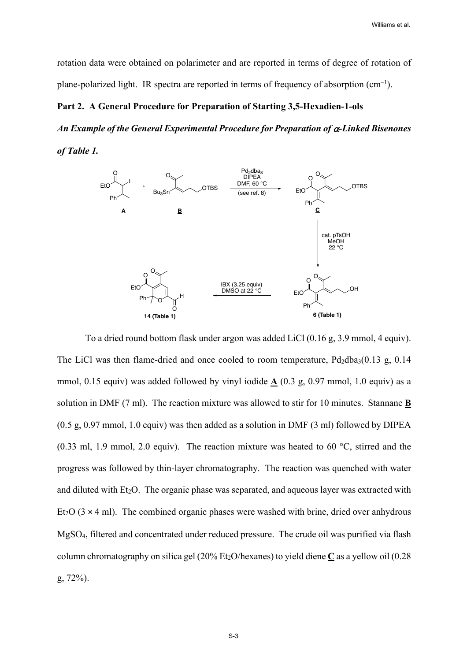rotation data were obtained on polarimeter and are reported in terms of degree of rotation of plane-polarized light. IR spectra are reported in terms of frequency of absorption  $(cm^{-1})$ .

#### **Part 2. A General Procedure for Preparation of Starting 3,5-Hexadien-1-ols**

*An Example of the General Experimental Procedure for Preparation of* a*-Linked Bisenones of Table 1.* 



To a dried round bottom flask under argon was added LiCl (0.16 g, 3.9 mmol, 4 equiv). The LiCl was then flame-dried and once cooled to room temperature,  $Pd_2dba_3(0.13 g, 0.14$ mmol, 0.15 equiv) was added followed by vinyl iodide  $\Delta$  (0.3 g, 0.97 mmol, 1.0 equiv) as a solution in DMF (7 ml). The reaction mixture was allowed to stir for 10 minutes. Stannane **B** (0.5 g, 0.97 mmol, 1.0 equiv) was then added as a solution in DMF (3 ml) followed by DIPEA (0.33 ml, 1.9 mmol, 2.0 equiv). The reaction mixture was heated to 60 °C, stirred and the progress was followed by thin-layer chromatography. The reaction was quenched with water and diluted with  $Et_2O$ . The organic phase was separated, and aqueous layer was extracted with Et<sub>2</sub>O ( $3 \times 4$  ml). The combined organic phases were washed with brine, dried over anhydrous MgSO4, filtered and concentrated under reduced pressure. The crude oil was purified via flash column chromatography on silica gel (20% Et<sub>2</sub>O/hexanes) to yield diene C as a yellow oil (0.28 g, 72%).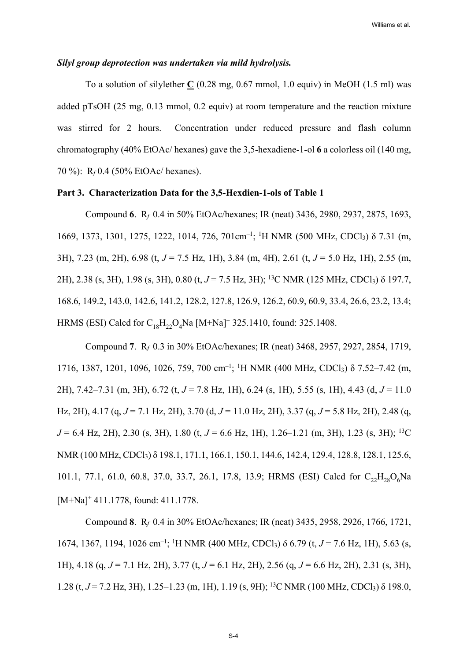#### *Silyl group deprotection was undertaken via mild hydrolysis.*

To a solution of silylether **C** (0.28 mg, 0.67 mmol, 1.0 equiv) in MeOH (1.5 ml) was added pTsOH (25 mg, 0.13 mmol, 0.2 equiv) at room temperature and the reaction mixture was stirred for 2 hours. Concentration under reduced pressure and flash column chromatography (40% EtOAc/ hexanes) gave the 3,5-hexadiene-1-ol **6** a colorless oil (140 mg, 70 %): R*f* 0.4 (50% EtOAc/ hexanes).

## **Part 3. Characterization Data for the 3,5-Hexdien-1-ols of Table 1**

Compound **6**. R*f* 0.4 in 50% EtOAc/hexanes; IR (neat) 3436, 2980, 2937, 2875, 1693, 1669, 1373, 1301, 1275, 1222, 1014, 726, 701cm<sup>-1</sup>; <sup>1</sup>H NMR (500 MHz, CDCl<sub>3</sub>) δ 7.31 (m, 3H), 7.23 (m, 2H), 6.98 (t, *J* = 7.5 Hz, 1H), 3.84 (m, 4H), 2.61 (t, *J* = 5.0 Hz, 1H), 2.55 (m, 2H), 2.38 (s, 3H), 1.98 (s, 3H), 0.80 (t, *J* = 7.5 Hz, 3H); 13C NMR (125 MHz, CDCl3) δ 197.7, 168.6, 149.2, 143.0, 142.6, 141.2, 128.2, 127.8, 126.9, 126.2, 60.9, 60.9, 33.4, 26.6, 23.2, 13.4; HRMS (ESI) Calcd for  $C_{18}H_{22}O_4$ Na [M+Na]<sup>+</sup> 325.1410, found: 325.1408.

Compound **7**. R*f* 0.3 in 30% EtOAc/hexanes; IR (neat) 3468, 2957, 2927, 2854, 1719, 1716, 1387, 1201, 1096, 1026, 759, 700 cm<sup>-1</sup>; <sup>1</sup>H NMR (400 MHz, CDCl<sub>3</sub>) δ 7.52–7.42 (m, 2H), 7.42–7.31 (m, 3H), 6.72 (t, *J* = 7.8 Hz, 1H), 6.24 (s, 1H), 5.55 (s, 1H), 4.43 (d, *J* = 11.0 Hz, 2H), 4.17 (q, *J* = 7.1 Hz, 2H), 3.70 (d, *J* = 11.0 Hz, 2H), 3.37 (q, *J* = 5.8 Hz, 2H), 2.48 (q, *J* = 6.4 Hz, 2H), 2.30 (s, 3H), 1.80 (t, *J* = 6.6 Hz, 1H), 1.26–1.21 (m, 3H), 1.23 (s, 3H); 13C NMR (100 MHz, CDCl3) δ 198.1, 171.1, 166.1, 150.1, 144.6, 142.4, 129.4, 128.8, 128.1, 125.6, 101.1, 77.1, 61.0, 60.8, 37.0, 33.7, 26.1, 17.8, 13.9; HRMS (ESI) Calcd for  $C_{22}H_{28}O_6Na$ [M+Na]<sup>+</sup> 411.1778, found: 411.1778.

Compound **8**. R*f* 0.4 in 30% EtOAc/hexanes; IR (neat) 3435, 2958, 2926, 1766, 1721, 1674, 1367, 1194, 1026 cm<sup>-1</sup>; <sup>1</sup>H NMR (400 MHz, CDCl<sub>3</sub>) δ 6.79 (t, *J* = 7.6 Hz, 1H), 5.63 (s, 1H), 4.18 (q, *J* = 7.1 Hz, 2H), 3.77 (t, *J* = 6.1 Hz, 2H), 2.56 (q, *J* = 6.6 Hz, 2H), 2.31 (s, 3H), 1.28 (t, *J* = 7.2 Hz, 3H), 1.25–1.23 (m, 1H), 1.19 (s, 9H); 13C NMR (100 MHz, CDCl3) δ 198.0,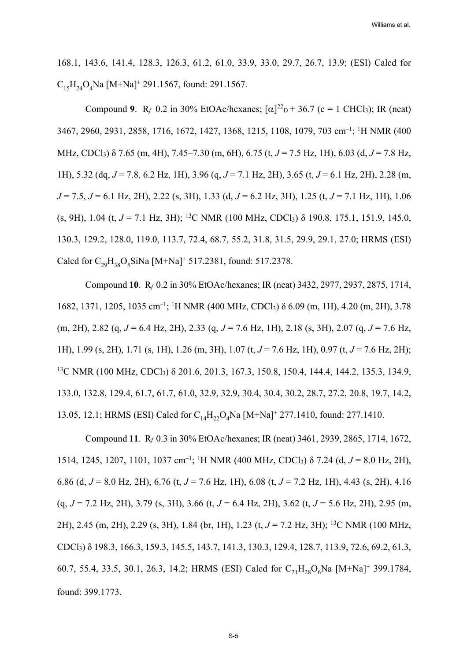168.1, 143.6, 141.4, 128.3, 126.3, 61.2, 61.0, 33.9, 33.0, 29.7, 26.7, 13.9; (ESI) Calcd for  $C_{15}H_{24}O_4$ Na [M+Na]<sup>+</sup> 291.1567, found: 291.1567.

Compound 9.  $R_f$  0.2 in 30% EtOAc/hexanes;  $[\alpha]^{22}$ <sub>D</sub> + 36.7 (c = 1 CHCl<sub>3</sub>); IR (neat) 3467, 2960, 2931, 2858, 1716, 1672, 1427, 1368, 1215, 1108, 1079, 703 cm–1; 1 H NMR (400 MHz, CDCl3) δ 7.65 (m, 4H), 7.45–7.30 (m, 6H), 6.75 (t, *J* = 7.5 Hz, 1H), 6.03 (d, *J* = 7.8 Hz, 1H), 5.32 (dq, *J* = 7.8, 6.2 Hz, 1H), 3.96 (q, *J* = 7.1 Hz, 2H), 3.65 (t, *J* = 6.1 Hz, 2H), 2.28 (m, *J* = 7.5, *J* = 6.1 Hz, 2H), 2.22 (s, 3H), 1.33 (d, *J* = 6.2 Hz, 3H), 1.25 (t, *J* = 7.1 Hz, 1H), 1.06 (s, 9H), 1.04 (t, *J* = 7.1 Hz, 3H); 13C NMR (100 MHz, CDCl3) δ 190.8, 175.1, 151.9, 145.0, 130.3, 129.2, 128.0, 119.0, 113.7, 72.4, 68.7, 55.2, 31.8, 31.5, 29.9, 29.1, 27.0; HRMS (ESI) Calcd for  $C_{29}H_{38}O_5S$ iNa [M+Na]<sup>+</sup> 517.2381, found: 517.2378.

Compound **10**. R*f* 0.2 in 30% EtOAc/hexanes; IR (neat) 3432, 2977, 2937, 2875, 1714, 1682, 1371, 1205, 1035 cm<sup>-1</sup>; <sup>1</sup>H NMR (400 MHz, CDCl<sub>3</sub>) δ 6.09 (m, 1H), 4.20 (m, 2H), 3.78 (m, 2H), 2.82 (q, *J* = 6.4 Hz, 2H), 2.33 (q, *J* = 7.6 Hz, 1H), 2.18 (s, 3H), 2.07 (q, *J* = 7.6 Hz, 1H), 1.99 (s, 2H), 1.71 (s, 1H), 1.26 (m, 3H), 1.07 (t, *J* = 7.6 Hz, 1H), 0.97 (t, *J* = 7.6 Hz, 2H); <sup>13</sup>C NMR (100 MHz, CDCl<sub>3</sub>) δ 201.6, 201.3, 167.3, 150.8, 150.4, 144.4, 144.2, 135.3, 134.9, 133.0, 132.8, 129.4, 61.7, 61.7, 61.0, 32.9, 32.9, 30.4, 30.4, 30.2, 28.7, 27.2, 20.8, 19.7, 14.2, 13.05, 12.1; HRMS (ESI) Calcd for  $C_{14}H_{22}O_4$ Na [M+Na]<sup>+</sup> 277.1410, found: 277.1410.

Compound **11**. R*f* 0.3 in 30% EtOAc/hexanes; IR (neat) 3461, 2939, 2865, 1714, 1672, 1514, 1245, 1207, 1101, 1037 cm<sup>-1</sup>; <sup>1</sup>H NMR (400 MHz, CDCl<sub>3</sub>) δ 7.24 (d, *J* = 8.0 Hz, 2H), 6.86 (d, *J* = 8.0 Hz, 2H), 6.76 (t, *J* = 7.6 Hz, 1H), 6.08 (t, *J* = 7.2 Hz, 1H), 4.43 (s, 2H), 4.16 (q, *J* = 7.2 Hz, 2H), 3.79 (s, 3H), 3.66 (t, *J* = 6.4 Hz, 2H), 3.62 (t, *J* = 5.6 Hz, 2H), 2.95 (m, 2H), 2.45 (m, 2H), 2.29 (s, 3H), 1.84 (br, 1H), 1.23 (t, *J* = 7.2 Hz, 3H); 13C NMR (100 MHz, CDCl3) δ 198.3, 166.3, 159.3, 145.5, 143.7, 141.3, 130.3, 129.4, 128.7, 113.9, 72.6, 69.2, 61.3, 60.7, 55.4, 33.5, 30.1, 26.3, 14.2; HRMS (ESI) Calcd for  $C_{21}H_{28}O_6$ Na [M+Na]<sup>+</sup> 399.1784, found: 399.1773.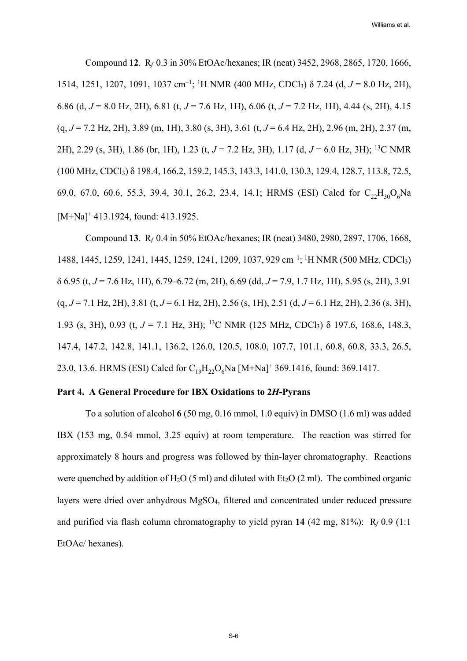Compound **12**. R*f* 0.3 in 30% EtOAc/hexanes; IR (neat) 3452, 2968, 2865, 1720, 1666, 1514, 1251, 1207, 1091, 1037 cm<sup>-1</sup>; <sup>1</sup>H NMR (400 MHz, CDCl<sub>3</sub>) δ 7.24 (d, *J* = 8.0 Hz, 2H), 6.86 (d, *J* = 8.0 Hz, 2H), 6.81 (t, *J* = 7.6 Hz, 1H), 6.06 (t, *J* = 7.2 Hz, 1H), 4.44 (s, 2H), 4.15 (q, *J* = 7.2 Hz, 2H), 3.89 (m, 1H), 3.80 (s, 3H), 3.61 (t, *J* = 6.4 Hz, 2H), 2.96 (m, 2H), 2.37 (m, 2H), 2.29 (s, 3H), 1.86 (br, 1H), 1.23 (t, *J* = 7.2 Hz, 3H), 1.17 (d, *J* = 6.0 Hz, 3H); 13C NMR (100 MHz, CDCl3) δ 198.4, 166.2, 159.2, 145.3, 143.3, 141.0, 130.3, 129.4, 128.7, 113.8, 72.5, 69.0, 67.0, 60.6, 55.3, 39.4, 30.1, 26.2, 23.4, 14.1; HRMS (ESI) Calcd for  $C_{22}H_{30}O_6Na$ [M+Na]<sup>+</sup> 413.1924, found: 413.1925.

Compound **13**. R*f* 0.4 in 50% EtOAc/hexanes; IR (neat) 3480, 2980, 2897, 1706, 1668, 1488, 1445, 1259, 1241, 1445, 1259, 1241, 1209, 1037, 929 cm–1; <sup>1</sup> H NMR (500 MHz, CDCl3) δ 6.95 (t, *J* = 7.6 Hz, 1H), 6.79–6.72 (m, 2H), 6.69 (dd, *J* = 7.9, 1.7 Hz, 1H), 5.95 (s, 2H), 3.91 (q, *J* = 7.1 Hz, 2H), 3.81 (t, *J* = 6.1 Hz, 2H), 2.56 (s, 1H), 2.51 (d, *J* = 6.1 Hz, 2H), 2.36 (s, 3H), 1.93 (s, 3H), 0.93 (t, *J* = 7.1 Hz, 3H); 13C NMR (125 MHz, CDCl3) δ 197.6, 168.6, 148.3, 147.4, 147.2, 142.8, 141.1, 136.2, 126.0, 120.5, 108.0, 107.7, 101.1, 60.8, 60.8, 33.3, 26.5, 23.0, 13.6. HRMS (ESI) Calcd for  $C_{19}H_{22}O_6$ Na [M+Na]<sup>+</sup> 369.1416, found: 369.1417.

### **Part 4. A General Procedure for IBX Oxidations to 2***H***-Pyrans**

To a solution of alcohol **6** (50 mg, 0.16 mmol, 1.0 equiv) in DMSO (1.6 ml) was added IBX (153 mg, 0.54 mmol, 3.25 equiv) at room temperature. The reaction was stirred for approximately 8 hours and progress was followed by thin-layer chromatography. Reactions were quenched by addition of  $H_2O(5 \text{ ml})$  and diluted with Et<sub>2</sub>O (2 ml). The combined organic layers were dried over anhydrous MgSO4, filtered and concentrated under reduced pressure and purified via flash column chromatography to yield pyran **14** (42 mg, 81%): R*<sup>f</sup>* 0.9 (1:1 EtOAc/ hexanes).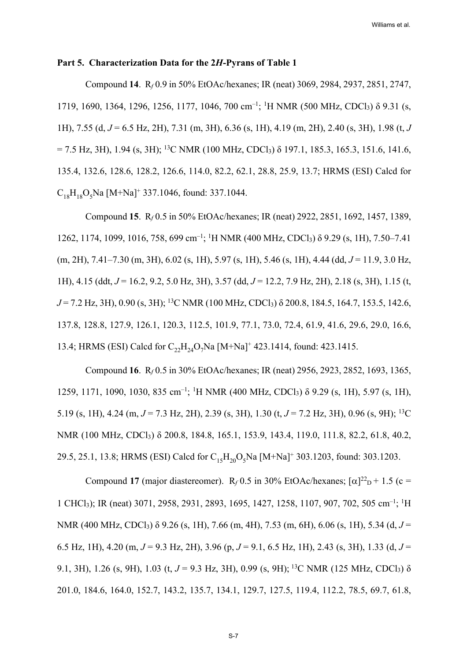#### **Part 5. Characterization Data for the 2***H***-Pyrans of Table 1**

Compound **14**. R*f* 0.9 in 50% EtOAc/hexanes; IR (neat) 3069, 2984, 2937, 2851, 2747, 1719, 1690, 1364, 1296, 1256, 1177, 1046, 700 cm<sup>-1</sup>; <sup>1</sup>H NMR (500 MHz, CDCl<sub>3</sub>) δ 9.31 (s, 1H), 7.55 (d, *J* = 6.5 Hz, 2H), 7.31 (m, 3H), 6.36 (s, 1H), 4.19 (m, 2H), 2.40 (s, 3H), 1.98 (t, *J*  $= 7.5$  Hz, 3H), 1.94 (s, 3H); <sup>13</sup>C NMR (100 MHz, CDCl<sub>3</sub>)  $\delta$  197.1, 185.3, 165.3, 151.6, 141.6, 135.4, 132.6, 128.6, 128.2, 126.6, 114.0, 82.2, 62.1, 28.8, 25.9, 13.7; HRMS (ESI) Calcd for  $C_{18}H_{18}O_5$ Na [M+Na]<sup>+</sup> 337.1046, found: 337.1044.

Compound **15**.R*f* 0.5 in 50% EtOAc/hexanes; IR (neat) 2922, 2851, 1692, 1457, 1389, 1262, 1174, 1099, 1016, 758, 699 cm<sup>-1</sup>; <sup>1</sup>H NMR (400 MHz, CDCl<sub>3</sub>) δ 9.29 (s, 1H), 7.50–7.41 (m, 2H), 7.41–7.30 (m, 3H), 6.02 (s, 1H), 5.97 (s, 1H), 5.46 (s, 1H), 4.44 (dd, *J* = 11.9, 3.0 Hz, 1H), 4.15 (ddt, *J* = 16.2, 9.2, 5.0 Hz, 3H), 3.57 (dd, *J* = 12.2, 7.9 Hz, 2H), 2.18 (s, 3H), 1.15 (t, *J* = 7.2 Hz, 3H), 0.90 (s, 3H); 13C NMR (100 MHz, CDCl3) δ 200.8, 184.5, 164.7, 153.5, 142.6, 137.8, 128.8, 127.9, 126.1, 120.3, 112.5, 101.9, 77.1, 73.0, 72.4, 61.9, 41.6, 29.6, 29.0, 16.6, 13.4; HRMS (ESI) Calcd for  $C_{22}H_{24}O_{7}Na$  [M+Na]<sup>+</sup> 423.1414, found: 423.1415.

Compound **16**. R*f* 0.5 in 30% EtOAc/hexanes; IR (neat) 2956, 2923, 2852, 1693, 1365, 1259, 1171, 1090, 1030, 835 cm<sup>-1</sup>; <sup>1</sup>H NMR (400 MHz, CDCl<sub>3</sub>) δ 9.29 (s, 1H), 5.97 (s, 1H), 5.19 (s, 1H), 4.24 (m, *J* = 7.3 Hz, 2H), 2.39 (s, 3H), 1.30 (t, *J* = 7.2 Hz, 3H), 0.96 (s, 9H); 13C NMR (100 MHz, CDCl<sub>3</sub>) δ 200.8, 184.8, 165.1, 153.9, 143.4, 119.0, 111.8, 82.2, 61.8, 40.2, 29.5, 25.1, 13.8; HRMS (ESI) Calcd for  $C_{15}H_{20}O_5Na$  [M+Na]<sup>+</sup> 303.1203, found: 303.1203.

Compound 17 (major diastereomer).  $R_f$  0.5 in 30% EtOAc/hexanes;  $[\alpha]^{22}$ <sub>D</sub> + 1.5 (c = 1 CHCl<sub>3</sub>); IR (neat) 3071, 2958, 2931, 2893, 1695, 1427, 1258, 1107, 907, 702, 505 cm<sup>-1</sup>; <sup>1</sup>H NMR (400 MHz, CDCl<sub>3</sub>) δ 9.26 (s, 1H), 7.66 (m, 4H), 7.53 (m, 6H), 6.06 (s, 1H), 5.34 (d, *J* = 6.5 Hz, 1H), 4.20 (m, *J* = 9.3 Hz, 2H), 3.96 (p, *J* = 9.1, 6.5 Hz, 1H), 2.43 (s, 3H), 1.33 (d, *J* = 9.1, 3H), 1.26 (s, 9H), 1.03 (t, *J* = 9.3 Hz, 3H), 0.99 (s, 9H); <sup>13</sup>C NMR (125 MHz, CDCl<sub>3</sub>) δ 201.0, 184.6, 164.0, 152.7, 143.2, 135.7, 134.1, 129.7, 127.5, 119.4, 112.2, 78.5, 69.7, 61.8,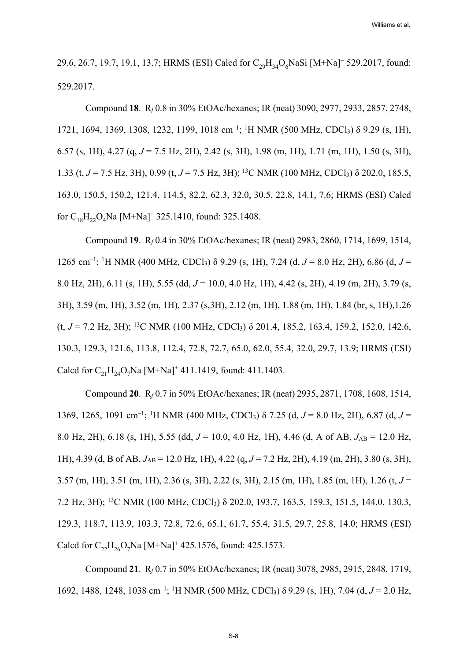29.6, 26.7, 19.7, 19.1, 13.7; HRMS (ESI) Calcd for  $C_{29}H_{34}O_6$ NaSi [M+Na]<sup>+</sup> 529.2017, found: 529.2017.

Compound **18**. R*f* 0.8 in 30% EtOAc/hexanes; IR (neat) 3090, 2977, 2933, 2857, 2748, 1721, 1694, 1369, 1308, 1232, 1199, 1018 cm<sup>-1</sup>; <sup>1</sup>H NMR (500 MHz, CDCl<sub>3</sub>) δ 9.29 (s, 1H), 6.57 (s, 1H), 4.27 (q, *J* = 7.5 Hz, 2H), 2.42 (s, 3H), 1.98 (m, 1H), 1.71 (m, 1H), 1.50 (s, 3H), 1.33 (t, *J* = 7.5 Hz, 3H), 0.99 (t, *J* = 7.5 Hz, 3H); 13C NMR (100 MHz, CDCl3) δ 202.0, 185.5, 163.0, 150.5, 150.2, 121.4, 114.5, 82.2, 62.3, 32.0, 30.5, 22.8, 14.1, 7.6; HRMS (ESI) Calcd for  $C_{18}H_{22}O_4$ Na [M+Na]<sup>+</sup> 325.1410, found: 325.1408.

Compound **19**.R*f* 0.4 in 30% EtOAc/hexanes; IR (neat) 2983, 2860, 1714, 1699, 1514, 1265 cm<sup>-1</sup>; <sup>1</sup>H NMR (400 MHz, CDCl<sub>3</sub>) δ 9.29 (s, 1H), 7.24 (d, *J* = 8.0 Hz, 2H), 6.86 (d, *J* = 8.0 Hz, 2H), 6.11 (s, 1H), 5.55 (dd, *J* = 10.0, 4.0 Hz, 1H), 4.42 (s, 2H), 4.19 (m, 2H), 3.79 (s, 3H), 3.59 (m, 1H), 3.52 (m, 1H), 2.37 (s,3H), 2.12 (m, 1H), 1.88 (m, 1H), 1.84 (br, s, 1H),1.26 (t,  $J = 7.2$  Hz, 3H); <sup>13</sup>C NMR (100 MHz, CDCl<sub>3</sub>)  $\delta$  201.4, 185.2, 163.4, 159.2, 152.0, 142.6, 130.3, 129.3, 121.6, 113.8, 112.4, 72.8, 72.7, 65.0, 62.0, 55.4, 32.0, 29.7, 13.9; HRMS (ESI) Calcd for  $C_{21}H_{24}O_7$ Na [M+Na]<sup>+</sup> 411.1419, found: 411.1403.

Compound **20**. R*f* 0.7 in 50% EtOAc/hexanes; IR (neat) 2935, 2871, 1708, 1608, 1514, 1369, 1265, 1091 cm<sup>-1</sup>; <sup>1</sup>H NMR (400 MHz, CDCl<sub>3</sub>) δ 7.25 (d, *J* = 8.0 Hz, 2H), 6.87 (d, *J* = 8.0 Hz, 2H), 6.18 (s, 1H), 5.55 (dd, *J* = 10.0, 4.0 Hz, 1H), 4.46 (d, A of AB, *J*AB = 12.0 Hz, 1H), 4.39 (d, B of AB, *J*AB = 12.0 Hz, 1H), 4.22 (q, *J* = 7.2 Hz, 2H), 4.19 (m, 2H), 3.80 (s, 3H), 3.57 (m, 1H), 3.51 (m, 1H), 2.36 (s, 3H), 2.22 (s, 3H), 2.15 (m, 1H), 1.85 (m, 1H), 1.26 (t, *J* = 7.2 Hz, 3H); 13C NMR (100 MHz, CDCl3) δ 202.0, 193.7, 163.5, 159.3, 151.5, 144.0, 130.3, 129.3, 118.7, 113.9, 103.3, 72.8, 72.6, 65.1, 61.7, 55.4, 31.5, 29.7, 25.8, 14.0; HRMS (ESI) Calcd for  $C_{22}H_{26}O_7$ Na [M+Na]<sup>+</sup> 425.1576, found: 425.1573.

Compound **21**. R*f* 0.7 in 50% EtOAc/hexanes; IR (neat) 3078, 2985, 2915, 2848, 1719, 1692, 1488, 1248, 1038 cm–1; 1 H NMR (500 MHz, CDCl3) δ 9.29 (s, 1H), 7.04 (d, *J* = 2.0 Hz,